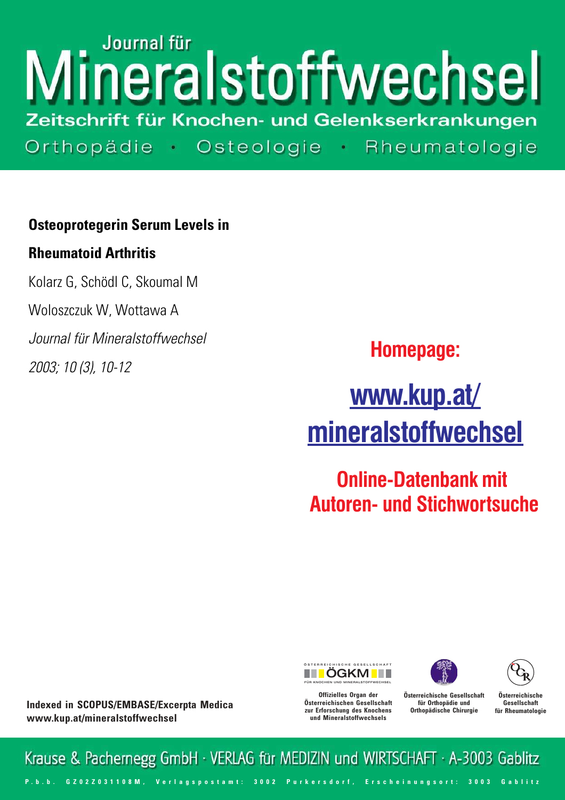# Journal für neralstoffwechsel Zeitschrift für Knochen- und Gelenkserkrankungen Orthopädie · Osteologie · Rheumatologie

## **Osteoprotegerin Serum Levels in**

### **Rheumatoid Arthritis**

Kolarz G, Schödl C, Skoumal M Woloszczuk W, Wottawa A Journal für Mineralstoffwechsel 2003; 10 (3), 10-12

**Homepage:**

**www.kup.at/ [mineralstoffwechsel](http://www.kup.at/cgi-bin/popup.pl?url=http://www.kup.at/mineralstoffwechsel)**

**Online-Datenbank mit  [Autoren- und Stichwortsuche](www.kup.at/db/index.html)**







**Indexed in SCOPUS/EMBASE/Excerpta Medica www.kup.at/mineralstoffwechsel**

**Offizielles Organ der Österreichischen Gesellschaft zur Erforschung des Knochens und Mineralstoffwechsels**

**Österreichische Gesellschaft für Orthopädie und Orthopädische Chirurgie**

**Österreichische Gesellschaft für Rheumatologie**

Krause & Pachernegg GmbH · VERLAG für MEDIZIN und WIRTSCHAFT · A-3003 Gablitz P. b. b. G Z 0 2 Z 0 3 1 1 0 8 M, Verlagspostamt: 300 2 Purkersdorf, Erscheinungsort: 300 3 G ab litz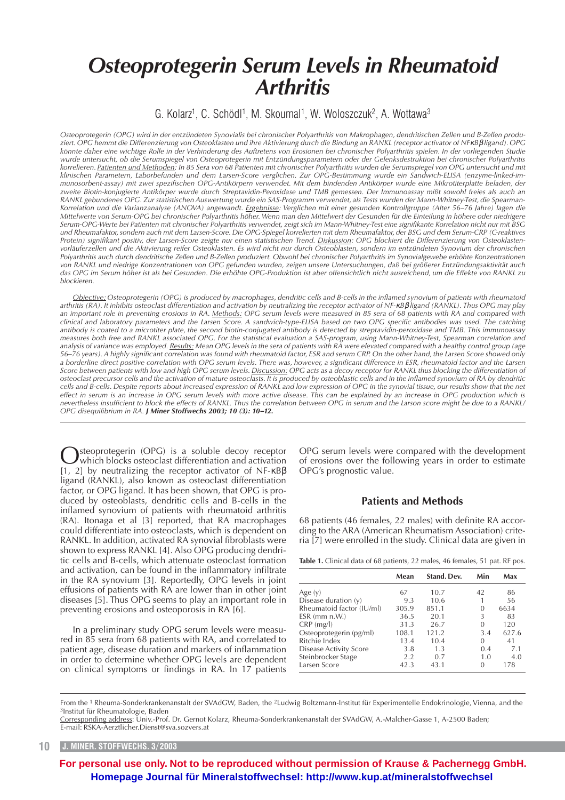# *Osteoprotegerin Serum Levels in Rheumatoid Arthritis*

#### G. Kolarz<sup>1</sup>, C. Schödl<sup>1</sup>, M. Skoumal<sup>1</sup>, W. Woloszczuk<sup>2</sup>, A. Wottawa<sup>3</sup>

*Osteoprotegerin (OPG) wird in der entzündeten Synovialis bei chronischer Polyarthritis von Makrophagen, dendritischen Zellen und B-Zellen produziert. OPG hemmt die Differenzierung von Osteoklasten und ihre Aktivierung durch die Bindung an RANKL (receptor activator of NF*κ*B*β *ligand). OPG könnte daher eine wichtige Rolle in der Verhinderung des Auftretens von Erosionen bei chronischer Polyarthritis spielen. In der vorliegenden Studie wurde untersucht, ob die Serumspiegel von Osteoprotegerin mit Entzündungsparametern oder der Gelenksdestruktion bei chronischer Polyarthritis korrelieren. Patienten und Methoden: In 85 Sera von 68 Patienten mit chronischer Polyarthritis wurden die Serumspiegel von OPG untersucht und mit klinischen Parametern, Laborbefunden und dem Larsen-Score verglichen. Zur OPG-Bestimmung wurde ein Sandwich-ELISA (enzyme-linked-immunosorbent-assay) mit zwei spezifischen OPG-Antikörpern verwendet. Mit dem bindenden Antikörper wurde eine Mikrotiterplatte beladen, der zweite Biotin-konjugierte Antikörper wurde durch Streptavidin-Peroxidase und TMB gemessen. Der Immunoassay mißt sowohl freies als auch an RANKL gebundenes OPG. Zur statistischen Auswertung wurde ein SAS-Programm verwendet, als Tests wurden der Mann-Whitney-Test, die Spearman-Korrelation und die Varianzanalyse (ANOVA) angewandt. Ergebnisse: Verglichen mit einer gesunden Kontrollgruppe (Alter 56–76 Jahre) lagen die Mittelwerte von Serum-OPG bei chronischer Polyarthritis höher. Wenn man den Mittelwert der Gesunden für die Einteilung in höhere oder niedrigere Serum-OPG-Werte bei Patienten mit chronischer Polyarthritis verwendet, zeigt sich im Mann-Whitney-Test eine signifikante Korrelation nicht nur mit BSG und Rheumafaktor, sondern auch mit dem Larsen-Score. Die OPG-Spiegel korrelierten mit dem Rheumafaktor, der BSG und dem Serum-CRP (C-reaktives Protein) signifikant positiv, der Larsen-Score zeigte nur einen statistischen Trend. Diskussion: OPG blockiert die Differenzierung von Osteoklastenvorläuferzellen und die Aktivierung reifer Osteoklasten. Es wird nicht nur durch Osteoblasten, sondern im entzündeten Synovium der chronischen Polyarthritis auch durch dendritische Zellen und B-Zellen produziert. Obwohl bei chronischer Polyarthritis im Synovialgewebe erhöhte Konzentrationen von RANKL und niedrige Konzentrationen von OPG gefunden wurden, zeigen unsere Untersuchungen, daß bei größerer Entzündungsaktivität auch das OPG im Serum höher ist als bei Gesunden. Die erhöhte OPG-Produktion ist aber offensichtlich nicht ausreichend, um die Effekte von RANKL zu blockieren.*

*Objective: Osteoprotegerin (OPG) is produced by macrophages, dendritic cells and B-cells in the inflamed synovium of patients with rheumatoid arthritis (RA). It inhibits osteoclast differentiation and activation by neutralizing the receptor activator of NF-*κ*B*β *ligand (RANKL). Thus OPG may play an important role in preventing erosions in RA. Methods: OPG serum levels were measured in 85 sera of 68 patients with RA and compared with clinical and laboratory parameters and the Larsen Score. A sandwich-type-ELISA based on two OPG specific antibodies was used. The catching antibody is coated to a microtiter plate, the second biotin-conjugated antibody is detected by streptavidin-peroxidase and TMB. This immunoassay measures both free and RANKL associated OPG. For the statistical evaluation a SAS-program, using Mann-Whitney-Test, Spearman correlation and analysis of variance was employed. Results: Mean OPG levels in the sera of patients with RA were elevated compared with a healthy control group (age 56–76 years). A highly significant correlation was found with rheumatoid factor, ESR and serum CRP. On the other hand, the Larsen Score showed only a borderline direct positive correlation with OPG serum levels. There was, however, a significant difference in ESR, rheumatoid factor and the Larsen Score between patients with low and high OPG serum levels. Discussion: OPG acts as a decoy receptor for RANKL thus blocking the differentiation of osteoclast precursor cells and the activation of mature osteoclasts. It is produced by osteoblastic cells and in the inflamed synovium of RA by dendritic cells and B-cells. Despite reports about increased expression of RANKL and low expression of OPG in the synovial tissue, our results show that the net effect in serum is an increase in OPG serum levels with more active disease. This can be explained by an increase in OPG production which is nevertheless insufficient to block the effects of RANKL. Thus the correlation between OPG in serum and the Larson score might be due to a RANKL/ OPG disequilibrium in RA. J Miner Stoffwechs 2003; 10 (3): 10–12.*

Osteoprotegerin (OPG) is a soluble decoy receptor<br>which blocks osteoclast differentiation and activation<br> $[1, 2]$  by poutalising the receptor estimator of NE xPB [1, 2] by neutralizing the receptor activator of NF-κ $B\beta$ ligand (RANKL), also known as osteoclast differentiation factor, or OPG ligand. It has been shown, that OPG is produced by osteoblasts, dendritic cells and B-cells in the inflamed synovium of patients with rheumatoid arthritis (RA). Itonaga et al [3] reported, that RA macrophages could differentiate into osteoclasts, which is dependent on RANKL. In addition, activated RA synovial fibroblasts were shown to express RANKL [4]. Also OPG producing dendritic cells and B-cells, which attenuate osteoclast formation and activation, can be found in the inflammatory infiltrate in the RA synovium [3]. Reportedly, OPG levels in joint effusions of patients with RA are lower than in other joint diseases [5]. Thus OPG seems to play an important role in preventing erosions and osteoporosis in RA [6].

In a preliminary study OPG serum levels were measured in 85 sera from 68 patients with RA, and correlated to patient age, disease duration and markers of inflammation in order to determine whether OPG levels are dependent on clinical symptoms or findings in RA. In 17 patients OPG serum levels were compared with the development of erosions over the following years in order to estimate OPG's prognostic value.

#### **Patients and Methods**

68 patients (46 females, 22 males) with definite RA according to the ARA (American Rheumatism Association) criteria [7] were enrolled in the study. Clinical data are given in

Table 1. Clinical data of 68 patients, 22 males, 46 females, 51 pat. RF pos.

|                           | Mean  | Stand. Dev. | Min | Max   |
|---------------------------|-------|-------------|-----|-------|
| Age $(y)$                 | 67    | 10.7        | 42  | 86    |
| Disease duration $(y)$    | 9.3   | 10.6        |     | 56    |
| Rheumatoid factor (IU/ml) | 305.9 | 851.1       | 0   | 6634  |
| $ESR$ (mm $n.W.$ )        | 36.5  | 20.1        | 3   | 83    |
| $CRP$ (mg/l)              | 31.3  | 26.7        | 0   | 120   |
| Osteoprotegerin (pg/ml)   | 108.1 | 121.2       | 3.4 | 627.6 |
| Ritchie Index             | 13.4  | 10.4        | O   | 41    |
| Disease Activity Score    | 3.8   | 1.3         | 0.4 | 7.1   |
| Steinbrocker Stage        | 2.2   | 0.7         | 1.0 | 4.0   |
| Larsen Score              | 42.3  | 43.1        | O   | 178   |

From the <sup>1</sup> Rheuma-Sonderkrankenanstalt der SVAdGW, Baden, the <sup>2</sup>Ludwig Boltzmann-Institut für Experimentelle Endokrinologie, Vienna, and the 3Institut für Rheumatologie, Baden

Corresponding address: Univ.-Prof. Dr. Gernot Kolarz, Rheuma-Sonderkrankenanstalt der SVAdGW, A.-Malcher-Gasse 1, A-2500 Baden; E-mail: RSKA-Aerztlicher.Dienst@sva.sozvers.at

**For personal use only. Not to be reproduced without permission of Krause & Pachernegg GmbH. [Homepage Journal für Mineralstoffwechsel: http://www.kup.at/mineralstoffwechsel](http://www.kup.at/mineralstoffwechsel)**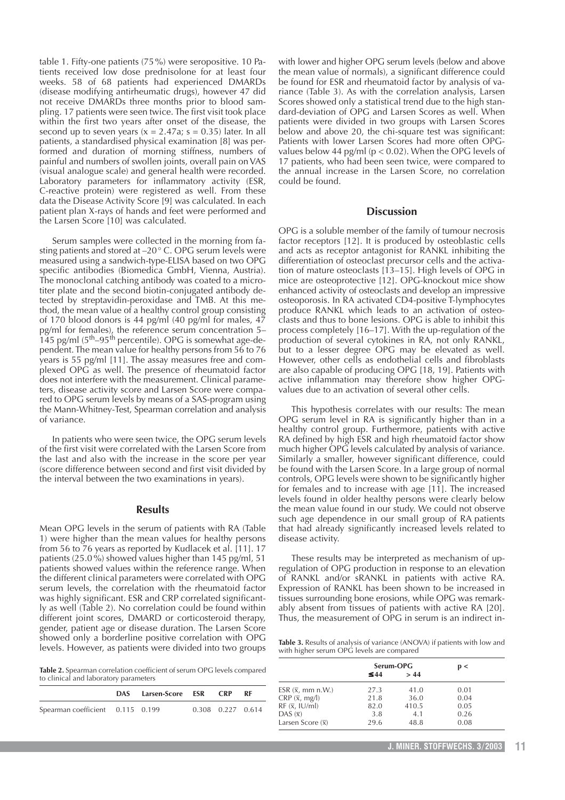table 1. Fifty-one patients (75%) were seropositive. 10 Patients received low dose prednisolone for at least four weeks. 58 of 68 patients had experienced DMARDs (disease modifying antirheumatic drugs), however 47 did not receive DMARDs three months prior to blood sampling. 17 patients were seen twice. The first visit took place within the first two years after onset of the disease, the second up to seven years ( $x = 2.47a$ ; s = 0.35) later. In all patients, a standardised physical examination [8] was performed and duration of morning stiffness, numbers of painful and numbers of swollen joints, overall pain on VAS (visual analogue scale) and general health were recorded. Laboratory parameters for inflammatory activity (ESR, C-reactive protein) were registered as well. From these data the Disease Activity Score [9] was calculated. In each patient plan X-rays of hands and feet were performed and the Larsen Score [10] was calculated.

Serum samples were collected in the morning from fasting patients and stored at –20° C. OPG serum levels were measured using a sandwich-type-ELISA based on two OPG specific antibodies (Biomedica GmbH, Vienna, Austria). The monoclonal catching antibody was coated to a microtiter plate and the second biotin-conjugated antibody detected by streptavidin-peroxidase and TMB. At this method, the mean value of a healthy control group consisting of 170 blood donors is 44 pg/ml (40 pg/ml for males, 47 pg/ml for females), the reference serum concentration 5–  $145$  pg/ml ( $5<sup>th</sup>$ –95<sup>th</sup> percentile). OPG is somewhat age-dependent. The mean value for healthy persons from 56 to 76 years is 55 pg/ml [11]. The assay measures free and complexed OPG as well. The presence of rheumatoid factor does not interfere with the measurement. Clinical parameters, disease activity score and Larsen Score were compared to OPG serum levels by means of a SAS-program using the Mann-Whitney-Test, Spearman correlation and analysis of variance.

In patients who were seen twice, the OPG serum levels of the first visit were correlated with the Larsen Score from the last and also with the increase in the score per year (score difference between second and first visit divided by the interval between the two examinations in years).

#### **Results**

Mean OPG levels in the serum of patients with RA (Table 1) were higher than the mean values for healthy persons from 56 to 76 years as reported by Kudlacek et al. [11]. 17 patients (25.0%) showed values higher than 145 pg/ml, 51 patients showed values within the reference range. When the different clinical parameters were correlated with OPG serum levels, the correlation with the rheumatoid factor was highly significant. ESR and CRP correlated significantly as well (Table 2). No correlation could be found within different joint scores, DMARD or corticosteroid therapy, gender, patient age or disease duration. The Larsen Score showed only a borderline positive correlation with OPG levels. However, as patients were divided into two groups

**Table 2.** Spearman correlation coefficient of serum OPG levels compared to clinical and laboratory parameters

|                                  | DAS Larsen-Score ESR CRP |                   | RF |
|----------------------------------|--------------------------|-------------------|----|
| Spearman coefficient 0.115 0.199 |                          | 0.308 0.227 0.614 |    |
|                                  |                          |                   |    |

with lower and higher OPG serum levels (below and above the mean value of normals), a significant difference could be found for ESR and rheumatoid factor by analysis of variance (Table 3). As with the correlation analysis, Larsen Scores showed only a statistical trend due to the high standard-deviation of OPG and Larsen Scores as well. When patients were divided in two groups with Larsen Scores below and above 20, the chi-square test was significant: Patients with lower Larsen Scores had more often OPGvalues below 44 pg/ml ( $p < 0.02$ ). When the OPG levels of 17 patients, who had been seen twice, were compared to the annual increase in the Larsen Score, no correlation could be found.

#### **Discussion**

OPG is a soluble member of the family of tumour necrosis factor receptors [12]. It is produced by osteoblastic cells and acts as receptor antagonist for RANKL inhibiting the differentiation of osteoclast precursor cells and the activation of mature osteoclasts [13–15]. High levels of OPG in mice are osteoprotective [12]. OPG-knockout mice show enhanced activity of osteoclasts and develop an impressive osteoporosis. In RA activated CD4-positive T-lymphocytes produce RANKL which leads to an activation of osteoclasts and thus to bone lesions. OPG is able to inhibit this process completely [16–17]. With the up-regulation of the production of several cytokines in RA, not only RANKL, but to a lesser degree OPG may be elevated as well. However, other cells as endothelial cells and fibroblasts are also capable of producing OPG [18, 19]. Patients with active inflammation may therefore show higher OPGvalues due to an activation of several other cells.

This hypothesis correlates with our results: The mean OPG serum level in RA is significantly higher than in a healthy control group. Furthermore, patients with active RA defined by high ESR and high rheumatoid factor show much higher OPG levels calculated by analysis of variance. Similarly a smaller, however significant difference, could be found with the Larsen Score. In a large group of normal controls, OPG levels were shown to be significantly higher for females and to increase with age [11]. The increased levels found in older healthy persons were clearly below the mean value found in our study. We could not observe such age dependence in our small group of RA patients that had already significantly increased levels related to disease activity.

These results may be interpreted as mechanism of upregulation of OPG production in response to an elevation of RANKL and/or sRANKL in patients with active RA. Expression of RANKL has been shown to be increased in tissues surrounding bone erosions, while OPG was remarkably absent from tissues of patients with active RA [20]. Thus, the measurement of OPG in serum is an indirect in-

**Table 3.** Results of analysis of variance (ANOVA) if patients with low and with higher serum OPG levels are compared

|                                                          | Serum-OPG |       | p <  |  |
|----------------------------------------------------------|-----------|-------|------|--|
|                                                          | $\leq 44$ | > 44  |      |  |
| ESR $(\overline{x}, \overline{m}m \overline{n} \cdot W)$ | 27.3      | 41.0  | 0.01 |  |
| $CRP(\bar{x}, mg/l)$                                     | 21.8      | 36.0  | 0.04 |  |
| $RF (\bar{x}, IU/ml)$                                    | 82.0      | 410.5 | 0.05 |  |
| DAS $(\overline{x})$                                     | 3.8       | 4.1   | 0.26 |  |
| Larsen Score $(\overline{x})$                            | 29.6      | 48.8  | 0.08 |  |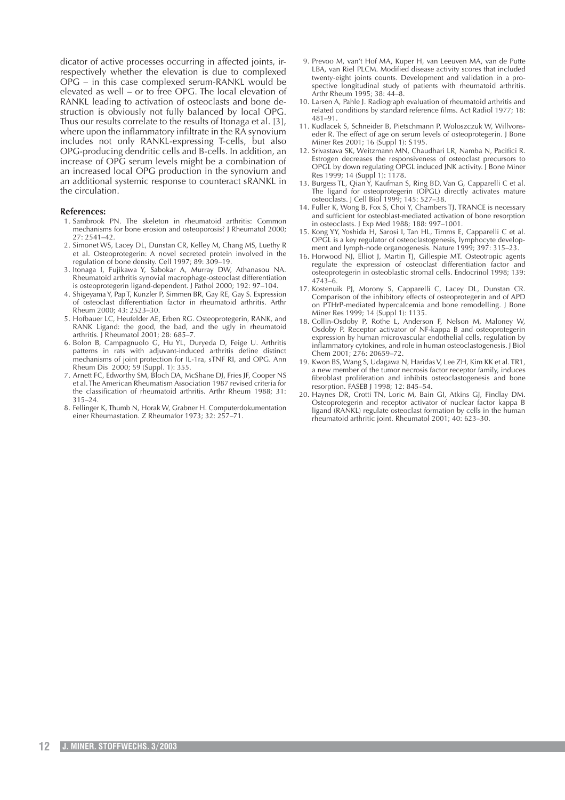dicator of active processes occurring in affected joints, irrespectively whether the elevation is due to complexed OPG – in this case complexed serum-RANKL would be elevated as well – or to free OPG. The local elevation of RANKL leading to activation of osteoclasts and bone destruction is obviously not fully balanced by local OPG. Thus our results correlate to the results of Itonaga et al. [3], where upon the inflammatory infiltrate in the RA synovium includes not only RANKL-expressing T-cells, but also OPG-producing dendritic cells and B-cells. In addition, an increase of OPG serum levels might be a combination of an increased local OPG production in the synovium and an additional systemic response to counteract sRANKL in the circulation.

#### **References:**

- 1. Sambrook PN. The skeleton in rheumatoid arthritis: Common mechanisms for bone erosion and osteoporosis? J Rheumatol 2000; 27: 2541–42.
- 2. Simonet WS, Lacey DL, Dunstan CR, Kelley M, Chang MS, Luethy R et al. Osteoprotegerin: A novel secreted protein involved in the regulation of bone density. Cell 1997; 89: 309–19.
- 3. Itonaga I, Fujikawa Y, Sabokar A, Murray DW, Athanasou NA. Rheumatoid arthritis synovial macrophage-osteoclast differentiation is osteoprotegerin ligand-dependent. J Pathol 2000; 192: 97–104.
- 4. Shigeyama Y, Pap T, Kunzler P, Simmen BR, Gay RE, Gay S. Expression of osteoclast differentiation factor in rheumatoid arthritis. Arthr Rheum 2000; 43: 2523–30.
- 5. Hofbauer LC, Heufelder AE, Erben RG. Osteoprotegerin, RANK, and RANK Ligand: the good, the bad, and the ugly in rheumatoid arthritis. J Rheumatol 2001; 28: 685–7.
- 6. Bolon B, Campagnuolo G, Hu YL, Duryeda D, Feige U. Arthritis patterns in rats with adjuvant-induced arthritis define distinct mechanisms of joint protection for IL-1ra, sTNF RI, and OPG. Ann Rheum Dis 2000; 59 (Suppl. 1): 355
- 7. Arnett FC, Edworthy SM, Bloch DA, McShane DJ, Fries JF, Cooper NS et al. The American Rheumatism Association 1987 revised criteria for the classification of rheumatoid arthritis. Arthr Rheum 1988; 31: 315–24.
- 8. Fellinger K, Thumb N, Horak W, Grabner H. Computerdokumentation einer Rheumastation. Z Rheumafor 1973; 32: 257–71.
- 9. Prevoo M, van't Hof MA, Kuper H, van Leeuven MA, van de Putte LBA, van Riel PLCM. Modified disease activity scores that included twenty-eight joints counts. Development and validation in a prospective longitudinal study of patients with rheumatoid arthritis. Arthr Rheum 1995; 38: 44–8.
- 10. Larsen A, Pahle J. Radiograph evaluation of rheumatoid arthritis and related conditions by standard reference films. Act Radiol 1977; 18: 481–91.
- 11. Kudlacek S, Schneider B, Pietschmann P, Woloszczuk W, Willvonseder R. The effect of age on serum levels of osteoprotegerin. J Bone Miner Res 2001; 16 (Suppl 1): S195.
- 12. Srivastava SK, Weitzmann MN, Chaudhari LR, Namba N, Pacifici R. Estrogen decreases the responsiveness of osteoclast precursors to OPGL by down regulating OPGL induced JNK activity. J Bone Miner Res 1999; 14 (Suppl 1): 1178.
- 13. Burgess TL, Qian Y, Kaufman S, Ring BD, Van G, Capparelli C et al. The ligand for osteoprotegerin (OPGL) directly activates mature osteoclasts. J Cell Biol 1999; 145: 527–38.
- 14. Fuller K, Wong B, Fox S, Choi Y, Chambers TJ. TRANCE is necessary and sufficient for osteoblast-mediated activation of bone resorption in osteoclasts. J Exp Med 1988; 188: 997–1001.
- 15. Kong YY, Yoshida H, Sarosi I, Tan HL, Timms E, Capparelli C et al. OPGL is a key regulator of osteoclastogenesis, lymphocyte development and lymph-node organogenesis. Nature 1999; 397: 315–23.
- 16. Horwood NJ, Elliot J, Martin TJ, Gillespie MT. Osteotropic agents regulate the expression of osteoclast differentiation factor and osteoprotegerin in osteoblastic stromal cells. Endocrinol 1998; 139: 4743–6.
- 17. Kostenuik PJ, Morony S, Capparelli C, Lacey DL, Dunstan CR. Comparison of the inhibitory effects of osteoprotegerin and of APD on PTHrP-mediated hypercalcemia and bone remodelling. J Bone Miner Res 1999; 14 (Suppl 1): 1135.
- 18. Collin-Osdoby P, Rothe L, Anderson F, Nelson M, Maloney W, Osdoby P. Receptor activator of NF-kappa B and osteoprotegerin expression by human microvascular endothelial cells, regulation by inflammatory cytokines, and role in human osteoclastogenesis. J Biol Chem 2001; 276: 20659–72.
- 19. Kwon BS, Wang S, Udagawa N, Haridas V, Lee ZH, Kim KK et al. TR1, a new member of the tumor necrosis factor receptor family, induces fibroblast proliferation and inhibits osteoclastogenesis and bone resorption. FASEB J 1998; 12: 845–54.
- 20. Haynes DR, Crotti TN, Loric M, Bain GI, Atkins GJ, Findlay DM. Osteoprotegerin and receptor activator of nuclear factor kappa B ligand (RANKL) regulate osteoclast formation by cells in the human rheumatoid arthritic joint. Rheumatol 2001; 40: 623–30.